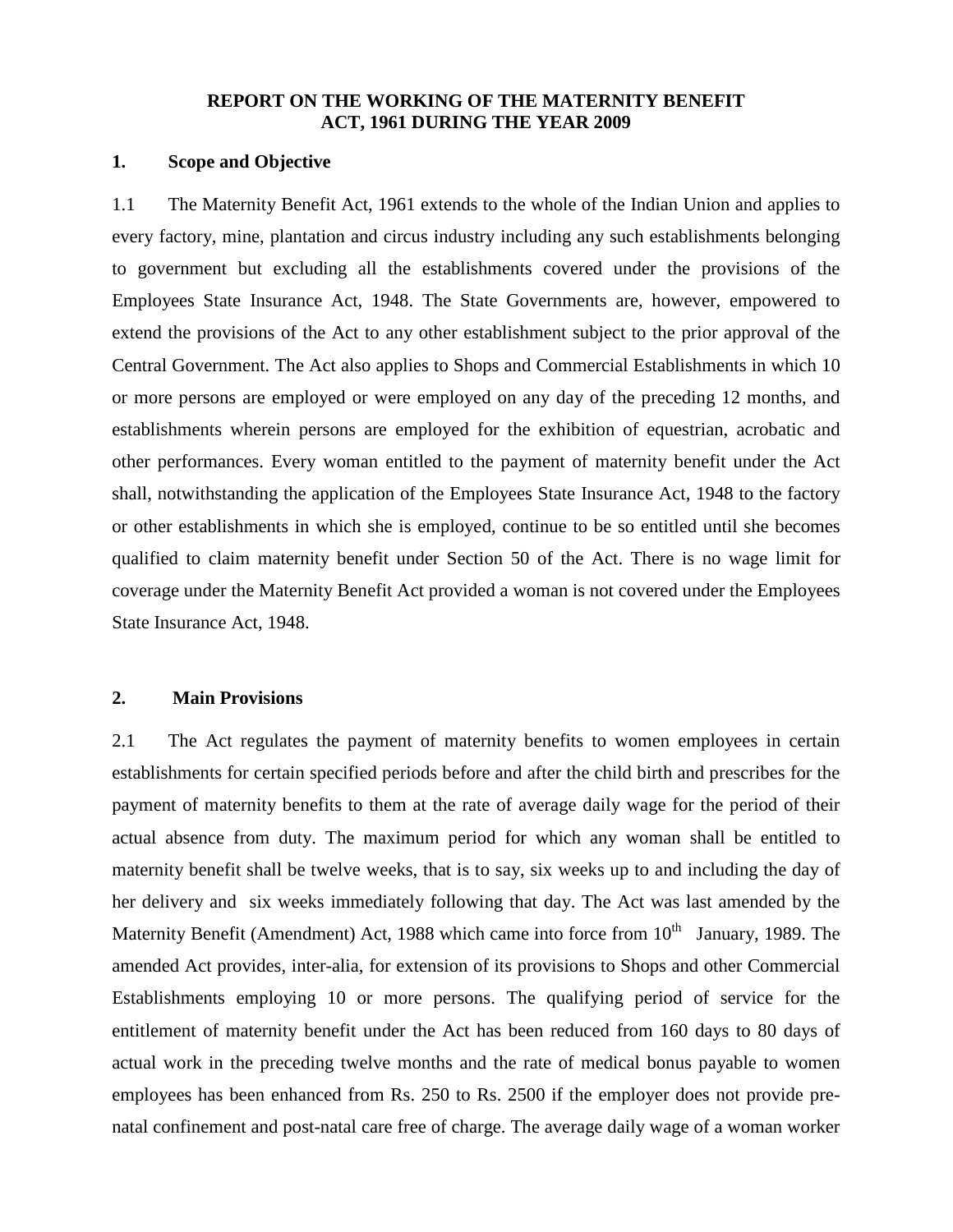## **REPORT ON THE WORKING OF THE MATERNITY BENEFIT ACT, 1961 DURING THE YEAR 2009**

## **1. Scope and Objective**

1.1 The Maternity Benefit Act, 1961 extends to the whole of the Indian Union and applies to every factory, mine, plantation and circus industry including any such establishments belonging to government but excluding all the establishments covered under the provisions of the Employees State Insurance Act, 1948. The State Governments are, however, empowered to extend the provisions of the Act to any other establishment subject to the prior approval of the Central Government. The Act also applies to Shops and Commercial Establishments in which 10 or more persons are employed or were employed on any day of the preceding 12 months, and establishments wherein persons are employed for the exhibition of equestrian, acrobatic and other performances. Every woman entitled to the payment of maternity benefit under the Act shall, notwithstanding the application of the Employees State Insurance Act, 1948 to the factory or other establishments in which she is employed, continue to be so entitled until she becomes qualified to claim maternity benefit under Section 50 of the Act. There is no wage limit for coverage under the Maternity Benefit Act provided a woman is not covered under the Employees State Insurance Act, 1948.

#### **2. Main Provisions**

2.1 The Act regulates the payment of maternity benefits to women employees in certain establishments for certain specified periods before and after the child birth and prescribes for the payment of maternity benefits to them at the rate of average daily wage for the period of their actual absence from duty. The maximum period for which any woman shall be entitled to maternity benefit shall be twelve weeks, that is to say, six weeks up to and including the day of her delivery and six weeks immediately following that day. The Act was last amended by the Maternity Benefit (Amendment) Act, 1988 which came into force from  $10<sup>th</sup>$  January, 1989. The amended Act provides, inter-alia, for extension of its provisions to Shops and other Commercial Establishments employing 10 or more persons. The qualifying period of service for the entitlement of maternity benefit under the Act has been reduced from 160 days to 80 days of actual work in the preceding twelve months and the rate of medical bonus payable to women employees has been enhanced from Rs. 250 to Rs. 2500 if the employer does not provide prenatal confinement and post-natal care free of charge. The average daily wage of a woman worker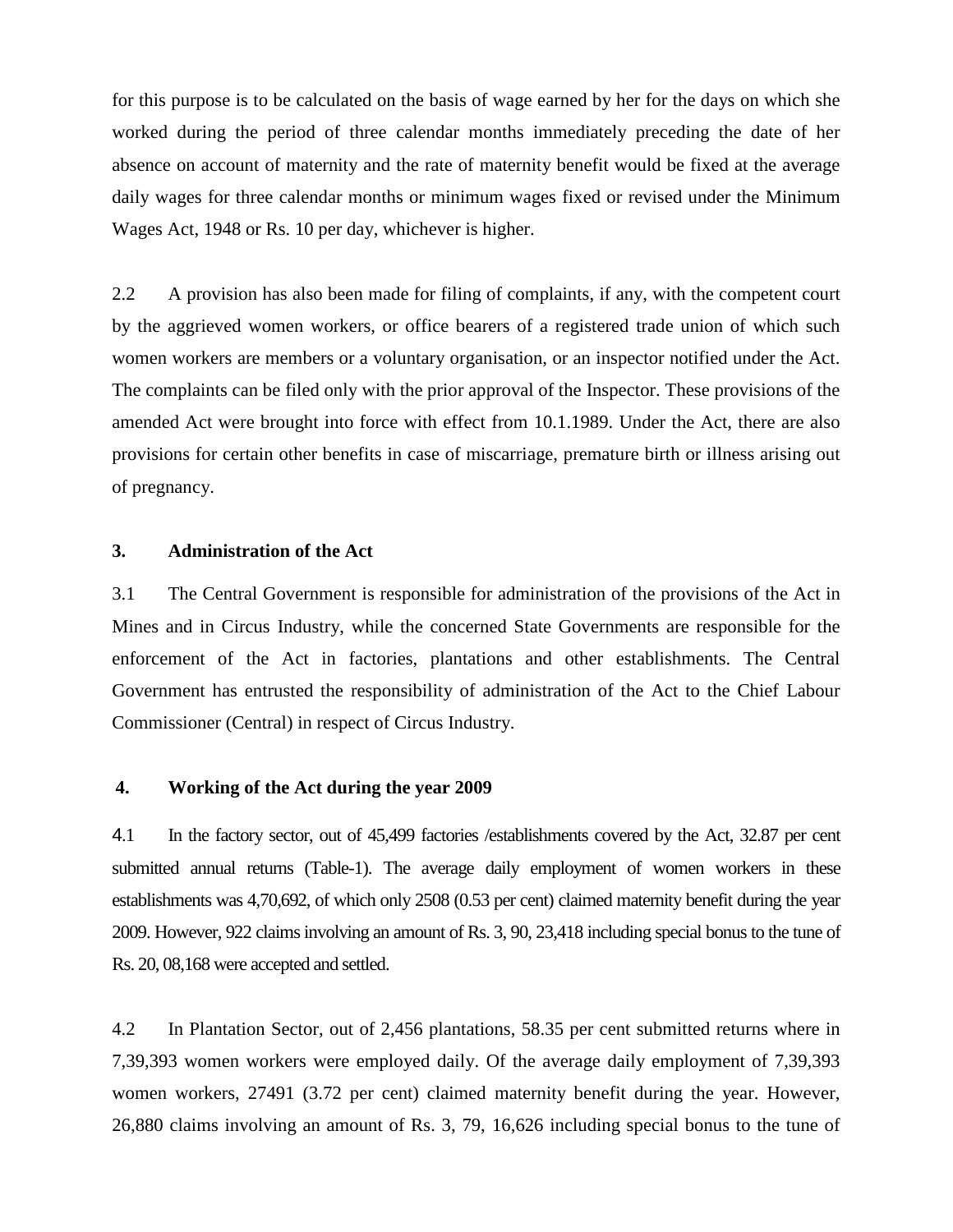for this purpose is to be calculated on the basis of wage earned by her for the days on which she worked during the period of three calendar months immediately preceding the date of her absence on account of maternity and the rate of maternity benefit would be fixed at the average daily wages for three calendar months or minimum wages fixed or revised under the Minimum Wages Act, 1948 or Rs. 10 per day, whichever is higher.

2.2 A provision has also been made for filing of complaints, if any, with the competent court by the aggrieved women workers, or office bearers of a registered trade union of which such women workers are members or a voluntary organisation, or an inspector notified under the Act. The complaints can be filed only with the prior approval of the Inspector. These provisions of the amended Act were brought into force with effect from 10.1.1989. Under the Act, there are also provisions for certain other benefits in case of miscarriage, premature birth or illness arising out of pregnancy.

## **3. Administration of the Act**

3.1 The Central Government is responsible for administration of the provisions of the Act in Mines and in Circus Industry, while the concerned State Governments are responsible for the enforcement of the Act in factories, plantations and other establishments. The Central Government has entrusted the responsibility of administration of the Act to the Chief Labour Commissioner (Central) in respect of Circus Industry.

# **4. Working of the Act during the year 2009**

4.1 In the factory sector, out of 45,499 factories /establishments covered by the Act, 32.87 per cent submitted annual returns (Table-1). The average daily employment of women workers in these establishments was 4,70,692, of which only 2508 (0.53 per cent) claimed maternity benefit during the year 2009. However, 922 claims involving an amount of Rs. 3, 90, 23,418 including special bonus to the tune of Rs. 20, 08,168 were accepted and settled.

4.2 In Plantation Sector, out of 2,456 plantations, 58.35 per cent submitted returns where in 7,39,393 women workers were employed daily. Of the average daily employment of 7,39,393 women workers, 27491 (3.72 per cent) claimed maternity benefit during the year. However, 26,880 claims involving an amount of Rs. 3, 79, 16,626 including special bonus to the tune of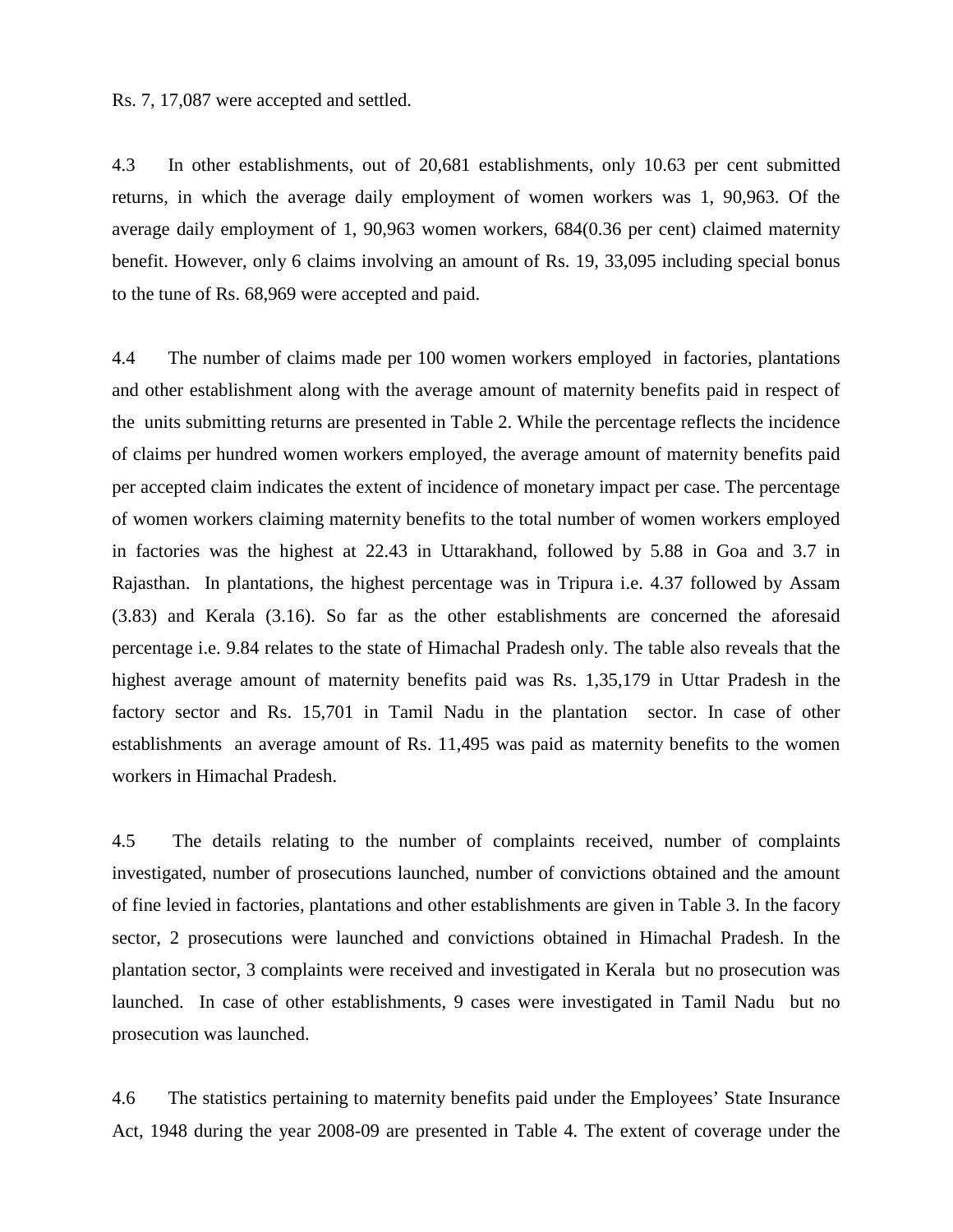Rs. 7, 17,087 were accepted and settled.

4.3 In other establishments, out of 20,681 establishments, only 10.63 per cent submitted returns, in which the average daily employment of women workers was 1, 90,963. Of the average daily employment of 1, 90,963 women workers, 684(0.36 per cent) claimed maternity benefit. However, only 6 claims involving an amount of Rs. 19, 33,095 including special bonus to the tune of Rs. 68,969 were accepted and paid.

4.4 The number of claims made per 100 women workers employed in factories, plantations and other establishment along with the average amount of maternity benefits paid in respect of the units submitting returns are presented in Table 2. While the percentage reflects the incidence of claims per hundred women workers employed, the average amount of maternity benefits paid per accepted claim indicates the extent of incidence of monetary impact per case. The percentage of women workers claiming maternity benefits to the total number of women workers employed in factories was the highest at 22.43 in Uttarakhand, followed by 5.88 in Goa and 3.7 in Rajasthan. In plantations, the highest percentage was in Tripura i.e. 4.37 followed by Assam (3.83) and Kerala (3.16). So far as the other establishments are concerned the aforesaid percentage i.e. 9.84 relates to the state of Himachal Pradesh only. The table also reveals that the highest average amount of maternity benefits paid was Rs. 1,35,179 in Uttar Pradesh in the factory sector and Rs. 15,701 in Tamil Nadu in the plantation sector. In case of other establishments an average amount of Rs. 11,495 was paid as maternity benefits to the women workers in Himachal Pradesh.

4.5 The details relating to the number of complaints received, number of complaints investigated, number of prosecutions launched, number of convictions obtained and the amount of fine levied in factories, plantations and other establishments are given in Table 3. In the facory sector, 2 prosecutions were launched and convictions obtained in Himachal Pradesh. In the plantation sector, 3 complaints were received and investigated in Kerala but no prosecution was launched. In case of other establishments, 9 cases were investigated in Tamil Nadu but no prosecution was launched.

4.6 The statistics pertaining to maternity benefits paid under the Employees' State Insurance Act, 1948 during the year 2008-09 are presented in Table 4. The extent of coverage under the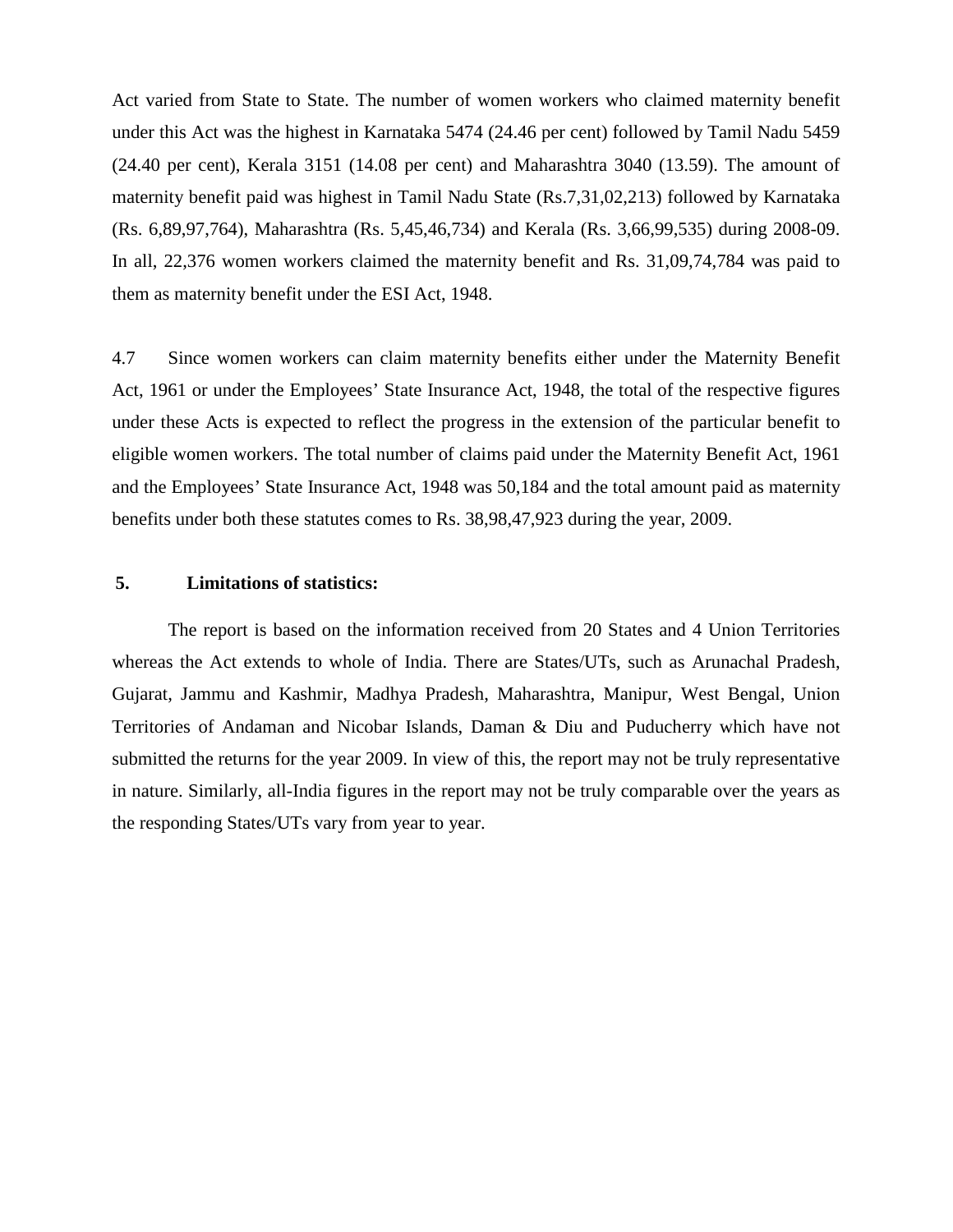Act varied from State to State. The number of women workers who claimed maternity benefit under this Act was the highest in Karnataka 5474 (24.46 per cent) followed by Tamil Nadu 5459 (24.40 per cent), Kerala 3151 (14.08 per cent) and Maharashtra 3040 (13.59). The amount of maternity benefit paid was highest in Tamil Nadu State (Rs.7,31,02,213) followed by Karnataka (Rs. 6,89,97,764), Maharashtra (Rs. 5,45,46,734) and Kerala (Rs. 3,66,99,535) during 2008-09. In all, 22,376 women workers claimed the maternity benefit and Rs. 31,09,74,784 was paid to them as maternity benefit under the ESI Act, 1948.

4.7 Since women workers can claim maternity benefits either under the Maternity Benefit Act, 1961 or under the Employees' State Insurance Act, 1948, the total of the respective figures under these Acts is expected to reflect the progress in the extension of the particular benefit to eligible women workers. The total number of claims paid under the Maternity Benefit Act, 1961 and the Employees' State Insurance Act, 1948 was 50,184 and the total amount paid as maternity benefits under both these statutes comes to Rs. 38,98,47,923 during the year, 2009.

# **5. Limitations of statistics:**

The report is based on the information received from 20 States and 4 Union Territories whereas the Act extends to whole of India. There are States/UTs, such as Arunachal Pradesh, Gujarat, Jammu and Kashmir, Madhya Pradesh, Maharashtra, Manipur, West Bengal, Union Territories of Andaman and Nicobar Islands, Daman & Diu and Puducherry which have not submitted the returns for the year 2009. In view of this, the report may not be truly representative in nature. Similarly, all-India figures in the report may not be truly comparable over the years as the responding States/UTs vary from year to year.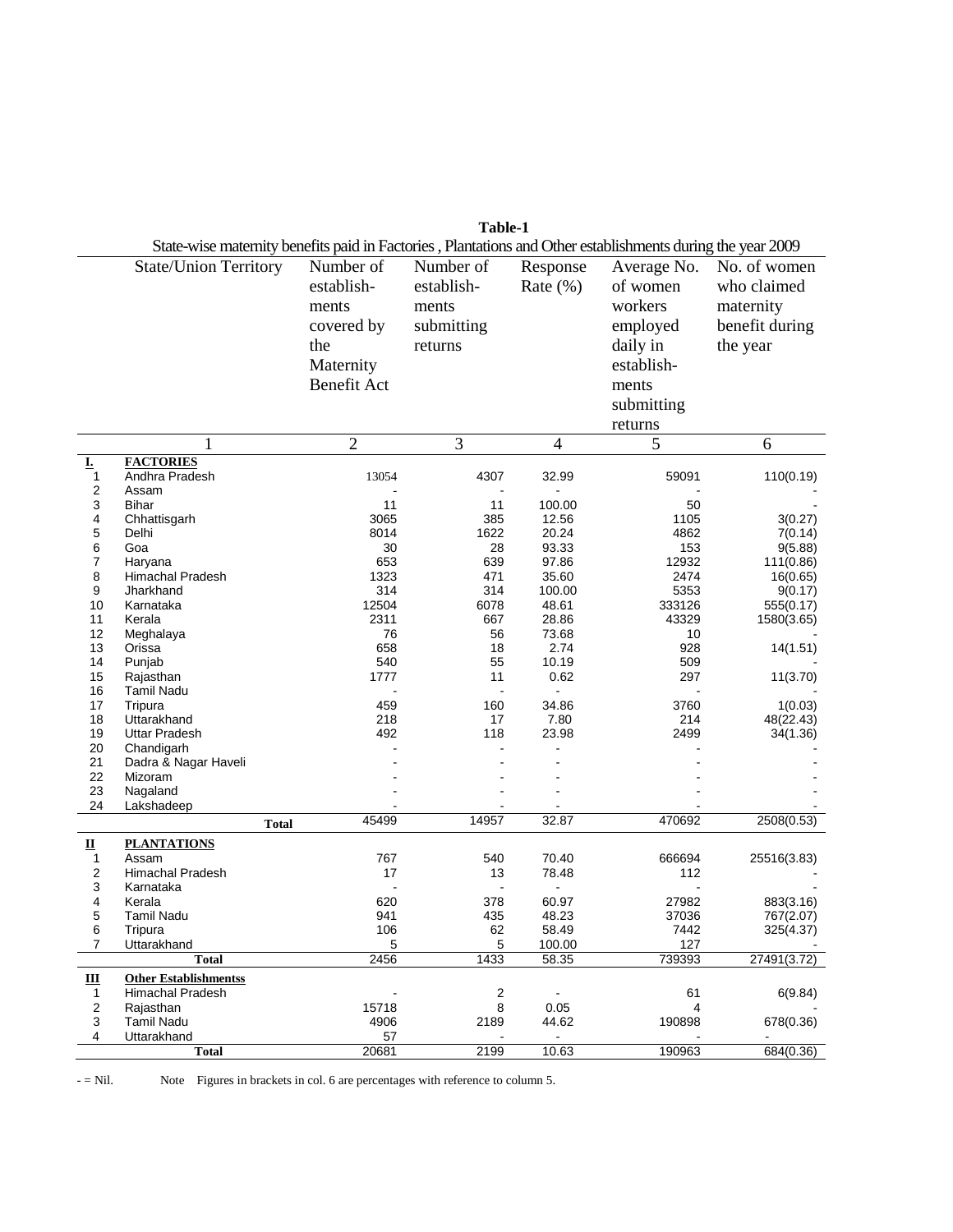|                         | Table-1                                                                                                    |                    |            |                 |               |                     |
|-------------------------|------------------------------------------------------------------------------------------------------------|--------------------|------------|-----------------|---------------|---------------------|
|                         | State-wise maternity benefits paid in Factories, Plantations and Other establishments during the year 2009 |                    |            |                 |               |                     |
|                         | <b>State/Union Territory</b>                                                                               | Number of          | Number of  | Response        | Average No.   | No. of women        |
|                         |                                                                                                            | establish-         | establish- | Rate $(\% )$    | of women      | who claimed         |
|                         |                                                                                                            | ments              | ments      |                 | workers       | maternity           |
|                         |                                                                                                            |                    |            |                 |               |                     |
|                         |                                                                                                            | covered by         | submitting |                 | employed      | benefit during      |
|                         |                                                                                                            | the                | returns    |                 | daily in      | the year            |
|                         |                                                                                                            | Maternity          |            |                 | establish-    |                     |
|                         |                                                                                                            | <b>Benefit Act</b> |            |                 | ments         |                     |
|                         |                                                                                                            |                    |            |                 | submitting    |                     |
|                         |                                                                                                            |                    |            |                 | returns       |                     |
|                         |                                                                                                            |                    |            |                 |               |                     |
|                         |                                                                                                            | $\overline{2}$     | 3          | $\overline{4}$  | 5             | 6                   |
| Ţ.<br>1                 | <b>FACTORIES</b><br>Andhra Pradesh                                                                         | 13054              | 4307       | 32.99           | 59091         | 110(0.19)           |
| $\overline{\mathbf{c}}$ | Assam                                                                                                      |                    |            |                 |               |                     |
| 3                       | <b>Bihar</b>                                                                                               | 11                 | 11         | 100.00          | 50            |                     |
| 4                       | Chhattisgarh                                                                                               | 3065               | 385        | 12.56           | 1105          | 3(0.27)             |
| 5                       | Delhi                                                                                                      | 8014               | 1622       | 20.24           | 4862          | 7(0.14)             |
| 6                       | Goa                                                                                                        | 30                 | 28         | 93.33           | 153           | 9(5.88)             |
| $\overline{7}$          | Haryana<br><b>Himachal Pradesh</b>                                                                         | 653<br>1323        | 639        | 97.86           | 12932<br>2474 | 111(0.86)           |
| 8<br>9                  | Jharkhand                                                                                                  | 314                | 471<br>314 | 35.60<br>100.00 | 5353          | 16(0.65)<br>9(0.17) |
| 10                      | Karnataka                                                                                                  | 12504              | 6078       | 48.61           | 333126        | 555(0.17)           |
| 11                      | Kerala                                                                                                     | 2311               | 667        | 28.86           | 43329         | 1580(3.65)          |
| 12                      | Meghalaya                                                                                                  | 76                 | 56         | 73.68           | 10            |                     |
| 13                      | Orissa                                                                                                     | 658                | 18         | 2.74            | 928           | 14(1.51)            |
| 14                      | Punjab                                                                                                     | 540                | 55         | 10.19           | 509           |                     |
| 15                      | Rajasthan                                                                                                  | 1777               | 11         | 0.62            | 297           | 11(3.70)            |
| 16<br>17                | <b>Tamil Nadu</b><br>Tripura                                                                               | 459                | 160        | 34.86           | 3760          | 1(0.03)             |
| 18                      | Uttarakhand                                                                                                | 218                | 17         | 7.80            | 214           | 48(22.43)           |
| 19                      | <b>Uttar Pradesh</b>                                                                                       | 492                | 118        | 23.98           | 2499          | 34(1.36)            |
| 20                      | Chandigarh                                                                                                 |                    |            |                 |               |                     |
| 21                      | Dadra & Nagar Haveli                                                                                       |                    |            |                 |               |                     |
| 22                      | Mizoram                                                                                                    |                    |            |                 |               |                     |
| 23                      | Nagaland                                                                                                   |                    |            |                 |               |                     |
| 24                      | Lakshadeep                                                                                                 | 45499              | 14957      | 32.87           | 470692        | 2508(0.53)          |
|                         |                                                                                                            | <b>Total</b>       |            |                 |               |                     |
| ц                       | <b>PLANTATIONS</b>                                                                                         |                    |            |                 |               |                     |
| 1<br>2                  | Assam<br><b>Himachal Pradesh</b>                                                                           | 767<br>17          | 540<br>13  | 70.40<br>78.48  | 666694<br>112 | 25516(3.83)         |
| 3                       | Karnataka                                                                                                  |                    |            |                 |               |                     |
| 4                       | Kerala                                                                                                     | 620                | 378        | 60.97           | 27982         | 883(3.16)           |
| 5                       | Tamil Nadu                                                                                                 | 941                | 435        | 48.23           | 37036         | 767(2.07)           |
| 6                       | Tripura                                                                                                    | 106                | 62         | 58.49           | 7442          | 325(4.37)           |
| $\overline{7}$          | Uttarakhand                                                                                                | 5                  | 5          | 100.00          | 127           |                     |
|                         | <b>Total</b>                                                                                               | 2456               | 1433       | 58.35           | 739393        | 27491(3.72)         |
| Ш                       | <b>Other Establishmentss</b>                                                                               |                    |            |                 |               |                     |
| 1<br>2                  | Himachal Pradesh<br>Rajasthan                                                                              | 15718              | 2<br>8     | 0.05            | 61<br>4       | 6(9.84)             |
| 3                       | <b>Tamil Nadu</b>                                                                                          | 4906               | 2189       | 44.62           | 190898        | 678(0.36)           |
| 4                       | Uttarakhand                                                                                                | 57                 |            |                 |               |                     |
|                         | <b>Total</b>                                                                                               | 20681              | 2199       | 10.63           | 190963        | 684(0.36)           |

- = Nil. Note Figures in brackets in col. 6 are percentages with reference to column 5.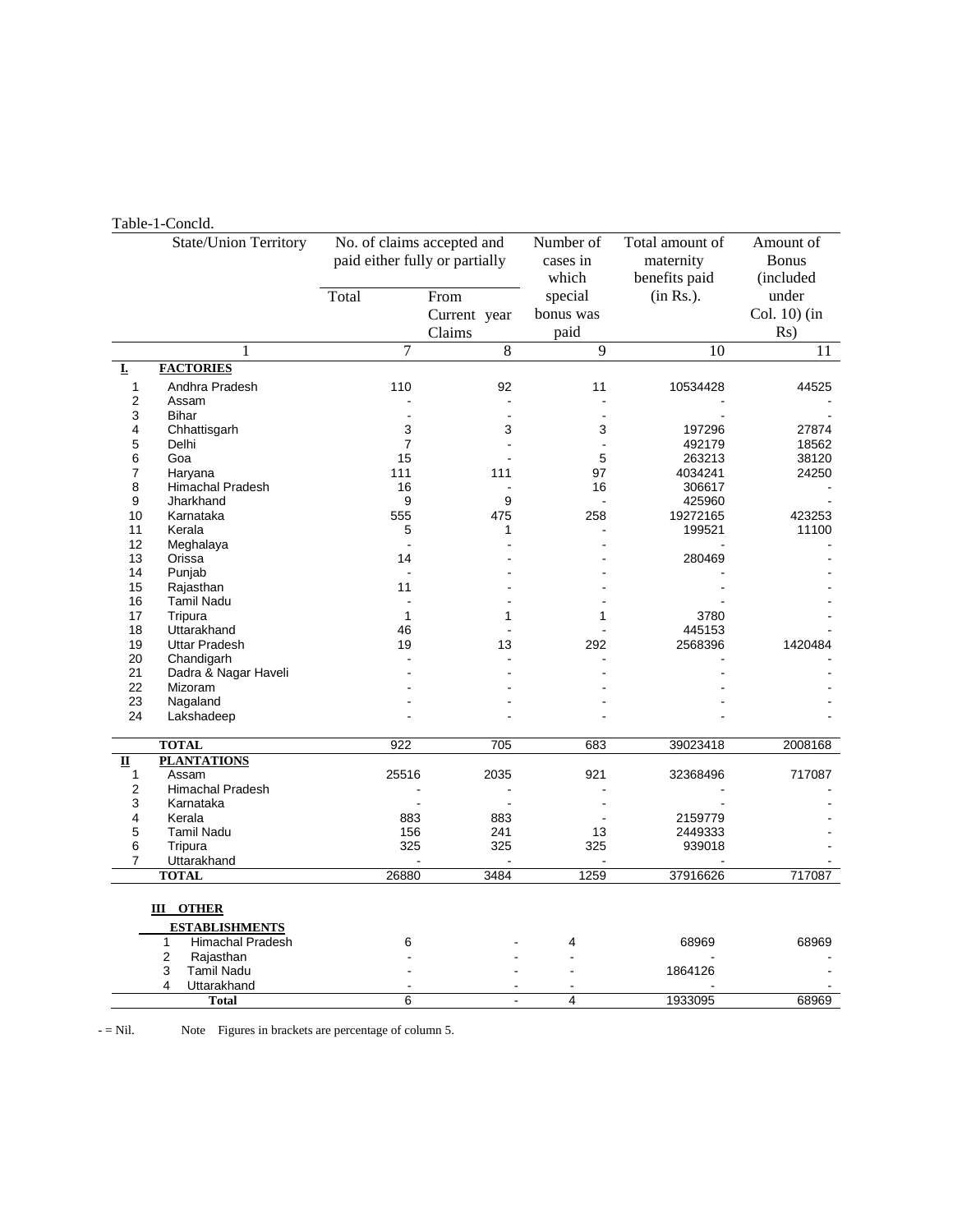#### Table-1-Concld.

|                         | State/Union Territory        | No. of claims accepted and     |                | Number of      | Total amount of | Amount of    |
|-------------------------|------------------------------|--------------------------------|----------------|----------------|-----------------|--------------|
|                         |                              | paid either fully or partially |                | cases in       | maternity       | <b>Bonus</b> |
|                         |                              |                                |                | which          | benefits paid   | (included    |
|                         |                              | Total                          | From           | special        | (in Rs.).       | under        |
|                         |                              |                                |                |                |                 |              |
|                         |                              |                                | Current year   | bonus was      |                 | Col. 10) (in |
|                         |                              |                                | Claims         | paid           |                 | Rs)          |
|                         | 1                            | $\overline{7}$                 | 8              | 9              | 10              | 11           |
| I.                      | <b>FACTORIES</b>             |                                |                |                |                 |              |
| 1                       | Andhra Pradesh               | 110                            | 92             | 11             | 10534428        | 44525        |
| $\overline{2}$          | Assam                        |                                |                |                |                 |              |
| 3                       | Bihar                        |                                | $\overline{a}$ | $\blacksquare$ |                 |              |
| 4                       | Chhattisgarh                 | 3                              | 3              | 3              | 197296          | 27874        |
| 5                       | Delhi                        | $\overline{7}$                 |                | ÷.             | 492179          | 18562        |
| 6                       | Goa                          | 15                             |                | 5              | 263213          | 38120        |
| 7                       | Haryana                      | 111                            | 111            | 97             | 4034241         | 24250        |
| 8                       | Himachal Pradesh             | 16                             |                | 16             | 306617          |              |
| 9                       | Jharkhand                    | 9                              | 9              |                | 425960          |              |
| 10                      | Karnataka                    | 555                            | 475            | 258            | 19272165        | 423253       |
| 11                      | Kerala                       | 5                              | 1              |                | 199521          | 11100        |
| 12                      | Meghalaya                    |                                |                |                |                 |              |
| 13                      | Orissa                       | 14                             |                |                | 280469          |              |
| 14                      | Punjab                       |                                |                |                |                 |              |
| 15                      | Rajasthan                    | 11                             |                |                |                 |              |
| 16                      | <b>Tamil Nadu</b>            |                                |                |                |                 |              |
| 17                      | Tripura                      | $\mathbf{1}$                   | 1              | 1              | 3780            |              |
| 18                      | Uttarakhand                  | 46                             |                |                | 445153          |              |
| 19                      | <b>Uttar Pradesh</b>         | 19                             | 13             | 292            | 2568396         | 1420484      |
| 20                      | Chandigarh                   |                                |                |                |                 |              |
| 21                      | Dadra & Nagar Haveli         |                                |                |                |                 |              |
| 22                      | Mizoram                      |                                |                |                |                 |              |
| 23                      | Nagaland                     |                                |                |                |                 |              |
| 24                      | Lakshadeep                   |                                |                |                |                 |              |
|                         | <b>TOTAL</b>                 | 922                            | 705            | 683            | 39023418        | 2008168      |
| $\overline{\mathbf{u}}$ | <b>PLANTATIONS</b>           |                                |                |                |                 |              |
| 1                       | Assam                        | 25516                          | 2035           | 921            | 32368496        | 717087       |
| $\overline{2}$          | Himachal Pradesh             |                                |                |                |                 |              |
| 3                       | Karnataka                    |                                |                |                |                 |              |
| 4                       | Kerala                       | 883                            | 883            |                | 2159779         |              |
| 5                       | <b>Tamil Nadu</b>            | 156                            | 241            | 13             | 2449333         |              |
| 6                       | Tripura                      | 325                            | 325            | 325            | 939018          |              |
| 7                       | Uttarakhand                  |                                |                |                |                 |              |
|                         | <b>TOTAL</b>                 | 26880                          | 3484           | 1259           | 37916626        | 717087       |
| <b>III</b> OTHER        |                              |                                |                |                |                 |              |
|                         | <b>ESTABLISHMENTS</b>        |                                |                |                |                 |              |
|                         | <b>Himachal Pradesh</b><br>1 | 6                              |                | 4              | 68969           | 68969        |
|                         | 2<br>Rajasthan               |                                |                |                |                 |              |
|                         | 3<br><b>Tamil Nadu</b>       |                                |                |                | 1864126         |              |
|                         | 4<br>Uttarakhand             |                                |                |                |                 |              |
|                         | <b>Total</b>                 | 6                              | $\overline{a}$ | $\overline{4}$ | 1933095         | 68969        |
|                         |                              |                                |                |                |                 |              |

- = Nil. Note Figures in brackets are percentage of column 5.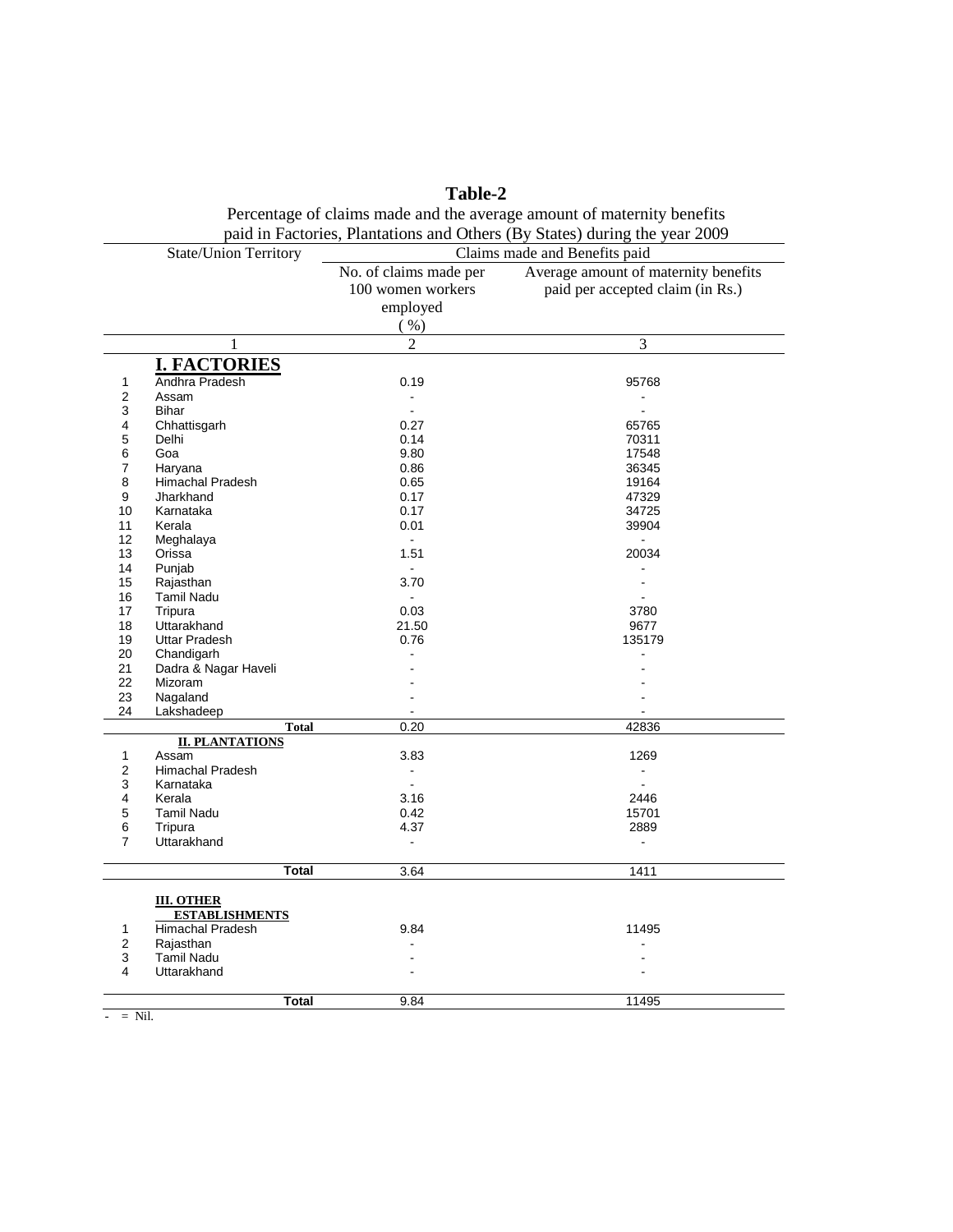|                | Percentage of claims made and the average amount of maternity benefits<br>paid in Factories, Plantations and Others (By States) during the year 2009 |                               |                                      |  |  |  |
|----------------|------------------------------------------------------------------------------------------------------------------------------------------------------|-------------------------------|--------------------------------------|--|--|--|
|                | <b>State/Union Territory</b>                                                                                                                         | Claims made and Benefits paid |                                      |  |  |  |
|                |                                                                                                                                                      | No. of claims made per        | Average amount of maternity benefits |  |  |  |
|                |                                                                                                                                                      | 100 women workers             | paid per accepted claim (in Rs.)     |  |  |  |
|                |                                                                                                                                                      | employed                      |                                      |  |  |  |
|                |                                                                                                                                                      |                               |                                      |  |  |  |
|                |                                                                                                                                                      | ( %)                          |                                      |  |  |  |
|                | 1                                                                                                                                                    | $\overline{2}$                | $\mathfrak{Z}$                       |  |  |  |
|                | <b>I. FACTORIES</b>                                                                                                                                  |                               |                                      |  |  |  |
| 1              | Andhra Pradesh                                                                                                                                       | 0.19                          | 95768                                |  |  |  |
| $\overline{2}$ | Assam                                                                                                                                                | $\sim$                        | $\sim$                               |  |  |  |
| 3              | <b>Bihar</b>                                                                                                                                         |                               |                                      |  |  |  |
| 4              | Chhattisgarh                                                                                                                                         | 0.27                          | 65765                                |  |  |  |
| 5              | Delhi                                                                                                                                                | 0.14                          | 70311                                |  |  |  |
| 6              | Goa                                                                                                                                                  | 9.80                          | 17548                                |  |  |  |
| $\overline{7}$ | Haryana                                                                                                                                              | 0.86                          | 36345                                |  |  |  |
| 8              | Himachal Pradesh                                                                                                                                     | 0.65                          | 19164                                |  |  |  |
| 9              | Jharkhand                                                                                                                                            | 0.17                          | 47329                                |  |  |  |
| 10             | Karnataka                                                                                                                                            | 0.17                          | 34725                                |  |  |  |
| 11             | Kerala                                                                                                                                               | 0.01                          | 39904                                |  |  |  |
| 12<br>13       | Meghalaya<br>Orissa                                                                                                                                  | $\sim$<br>1.51                | $\blacksquare$<br>20034              |  |  |  |
| 14             | Punjab                                                                                                                                               |                               |                                      |  |  |  |
| 15             | Rajasthan                                                                                                                                            | 3.70                          | ä,                                   |  |  |  |
| 16             | <b>Tamil Nadu</b>                                                                                                                                    |                               |                                      |  |  |  |
| 17             | Tripura                                                                                                                                              | 0.03                          | 3780                                 |  |  |  |
| 18             | Uttarakhand                                                                                                                                          | 21.50                         | 9677                                 |  |  |  |
| 19             | <b>Uttar Pradesh</b>                                                                                                                                 | 0.76                          | 135179                               |  |  |  |
| 20             | Chandigarh                                                                                                                                           |                               |                                      |  |  |  |
| 21             | Dadra & Nagar Haveli                                                                                                                                 |                               |                                      |  |  |  |
| 22             | Mizoram                                                                                                                                              |                               |                                      |  |  |  |
| 23             | Nagaland                                                                                                                                             |                               |                                      |  |  |  |
| 24             | Lakshadeep                                                                                                                                           |                               |                                      |  |  |  |
|                | <b>Total</b>                                                                                                                                         | 0.20                          | 42836                                |  |  |  |
|                | <b>II. PLANTATIONS</b>                                                                                                                               |                               |                                      |  |  |  |
| $\mathbf{1}$   | Assam                                                                                                                                                | 3.83                          | 1269                                 |  |  |  |
| $\overline{2}$ | <b>Himachal Pradesh</b>                                                                                                                              | $\sim$                        | $\mathbf{r}$                         |  |  |  |
| 3              | Karnataka                                                                                                                                            | $\blacksquare$                | $\sim$                               |  |  |  |
| 4              | Kerala                                                                                                                                               | 3.16                          | 2446                                 |  |  |  |
| 5<br>6         | <b>Tamil Nadu</b>                                                                                                                                    | 0.42<br>4.37                  | 15701<br>2889                        |  |  |  |
| $\overline{7}$ | Tripura<br>Uttarakhand                                                                                                                               |                               |                                      |  |  |  |
|                |                                                                                                                                                      |                               |                                      |  |  |  |
|                | <b>Total</b>                                                                                                                                         | 3.64                          | 1411                                 |  |  |  |
|                |                                                                                                                                                      |                               |                                      |  |  |  |
|                | <b>III. OTHER</b><br><b>ESTABLISHMENTS</b>                                                                                                           |                               |                                      |  |  |  |
| 1              | Himachal Pradesh                                                                                                                                     | 9.84                          | 11495                                |  |  |  |
| 2              | Rajasthan                                                                                                                                            |                               |                                      |  |  |  |
| 3              | <b>Tamil Nadu</b>                                                                                                                                    |                               |                                      |  |  |  |
| 4              | Uttarakhand                                                                                                                                          |                               |                                      |  |  |  |
|                |                                                                                                                                                      |                               |                                      |  |  |  |
|                | <b>Total</b>                                                                                                                                         | 9.84                          | 11495                                |  |  |  |

**Table-2** Percentage of claims made and the average amount of maternity benefits

 $- = Nil.$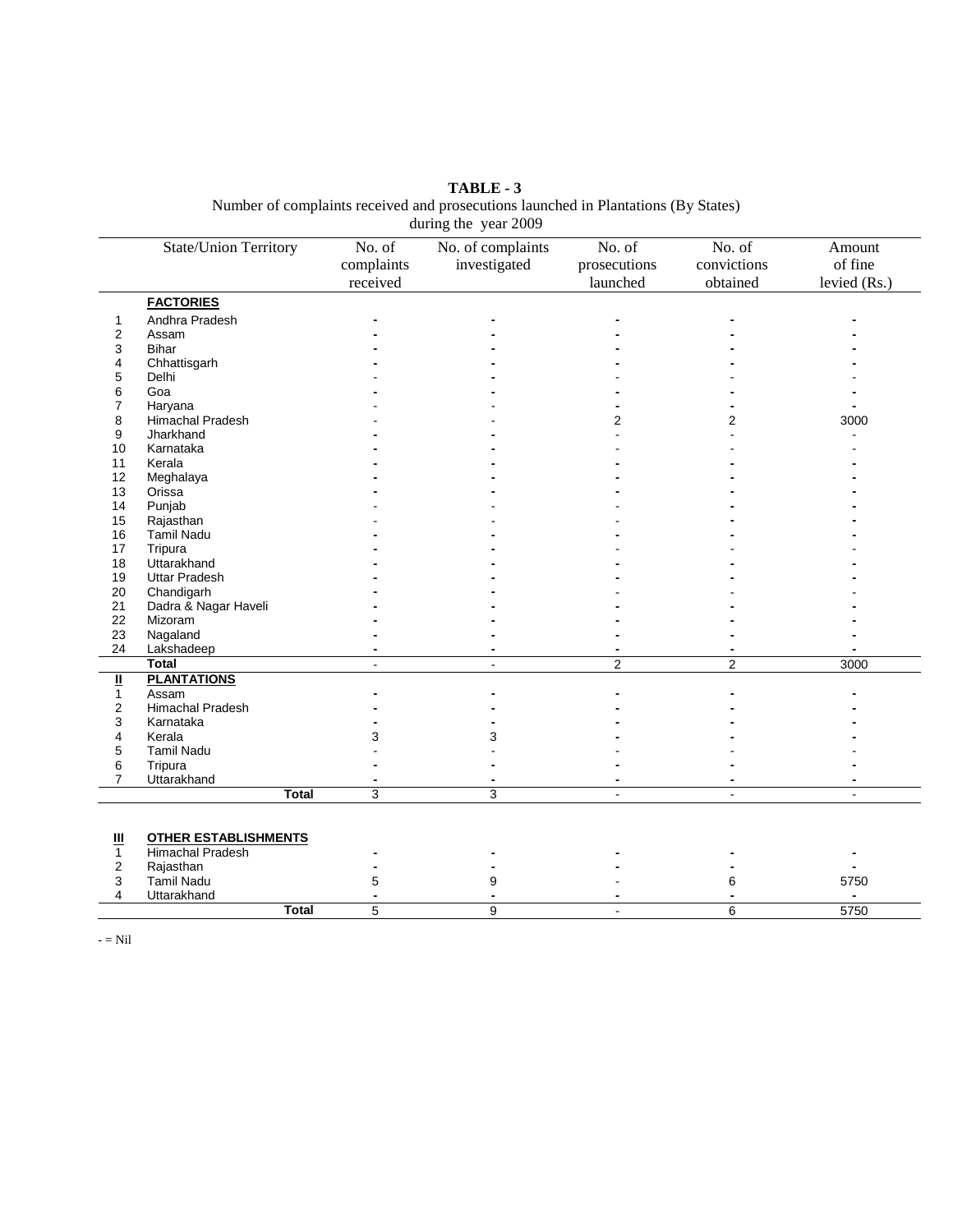**TABLE - 3** Number of complaints received and prosecutions launched in Plantations (By States) during the year 2009

|                         | <b>State/Union Territory</b> | No. of         | No. of complaints | No. of       | No. of       | Amount         |
|-------------------------|------------------------------|----------------|-------------------|--------------|--------------|----------------|
|                         |                              | complaints     | investigated      | prosecutions | convictions  | of fine        |
|                         |                              | received       |                   | launched     | obtained     |                |
|                         |                              |                |                   |              |              | levied (Rs.)   |
|                         | <b>FACTORIES</b>             |                |                   |              |              |                |
| 1                       | Andhra Pradesh               |                |                   |              |              |                |
| 2                       | Assam                        |                |                   |              |              |                |
| 3                       | <b>Bihar</b>                 |                |                   |              |              |                |
| 4                       | Chhattisgarh                 |                |                   |              |              |                |
| 5                       | Delhi                        |                |                   |              |              |                |
| 6                       | Goa                          |                |                   |              |              |                |
| 7                       | Haryana                      |                |                   |              |              |                |
| 8                       | Himachal Pradesh             |                |                   | 2            | 2            | 3000           |
| 9                       | Jharkhand                    |                |                   |              |              |                |
| 10                      | Karnataka                    |                |                   |              |              |                |
| 11                      | Kerala                       |                |                   |              |              |                |
| 12                      | Meghalaya                    |                |                   |              |              |                |
| 13                      | Orissa                       |                |                   |              |              |                |
| 14                      | Punjab                       |                |                   |              |              |                |
| 15                      | Rajasthan                    |                |                   |              |              |                |
| 16                      | Tamil Nadu                   |                |                   |              |              |                |
| 17                      | Tripura                      |                |                   |              |              |                |
| 18                      | Uttarakhand                  |                |                   |              |              |                |
| 19                      | <b>Uttar Pradesh</b>         |                |                   |              |              |                |
| 20                      | Chandigarh                   |                |                   |              |              |                |
| 21                      | Dadra & Nagar Haveli         |                |                   |              |              |                |
| 22                      | Mizoram                      |                |                   |              |              |                |
| 23                      | Nagaland                     |                |                   |              |              |                |
| 24                      | Lakshadeep                   |                |                   |              |              |                |
|                         | <b>Total</b>                 |                | $\blacksquare$    | 2            | 2            | 3000           |
|                         | <b>PLANTATIONS</b>           |                |                   |              |              |                |
| $\frac{11}{1}$          | Assam                        |                |                   |              |              |                |
| $\overline{\mathbf{c}}$ | Himachal Pradesh             |                |                   |              |              |                |
| 3                       | Karnataka                    |                |                   |              |              |                |
| $\overline{4}$          | Kerala                       | 3              | 3                 |              |              |                |
| 5                       | Tamil Nadu                   |                |                   |              |              |                |
| 6                       | Tripura                      |                |                   |              |              |                |
| $\overline{7}$          | Uttarakhand                  |                |                   |              |              |                |
|                         | <b>Total</b>                 | $\overline{3}$ | 3                 |              | $\mathbf{r}$ | $\sim$         |
|                         |                              |                |                   |              |              |                |
|                         |                              |                |                   |              |              |                |
| Ш                       | <b>OTHER ESTABLISHMENTS</b>  |                |                   |              |              |                |
| $\mathbf{1}$            | <b>Himachal Pradesh</b>      |                |                   |              |              |                |
| 2                       | Rajasthan                    |                |                   |              |              |                |
| 3                       | <b>Tamil Nadu</b>            | 5              | 9                 |              | 6            | 5750           |
| 4                       | Uttarakhand                  |                |                   |              |              | $\blacksquare$ |

**Total** 5 5 9 5750

 $-$  = Nil